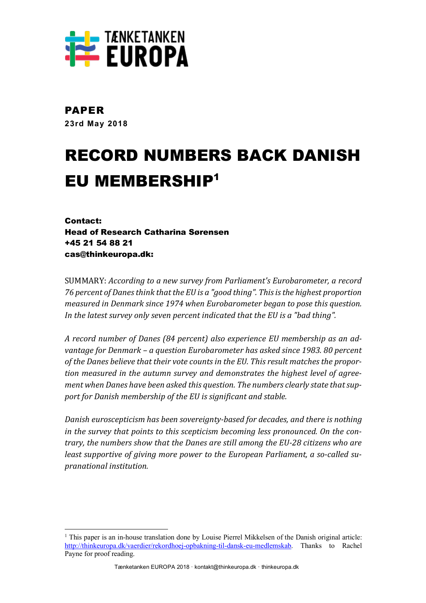

PAPER **23rd May 2018**

# RECORD NUMBERS BACK DANISH EU MEMBERSHIP1

Contact: Head of Research Catharina Sørensen +45 21 54 88 21 cas@thinkeuropa.dk:

 

SUMMARY: *According to a new survey from Parliament's Eurobarometer, a record* 76 percent of Danes think that the EU is a "good thing". This is the highest proportion *measured in Denmark since 1974 when Eurobarometer began to pose this question.* In the latest survey only seven percent indicated that the EU is a "bad thing".

*A record number of Danes (84 percent) also experience EU membership as an advantage for Denmark* – *a question Eurobarometer has asked since 1983. 80 percent* of the Danes believe that their vote counts in the EU. This result matches the proportion measured in the autumn survey and demonstrates the highest level of agreement when Danes have been asked this question. The numbers clearly state that sup*port for Danish membership of the EU is significant and stable.* 

*Danish euroscepticism has been sovereignty-based for decades, and there is nothing* in the survey that points to this scepticism becoming less pronounced. On the con*trary, the numbers show that the Danes are still among the EU-28 citizens who are* least supportive of giving more power to the European Parliament, a so-called su*pranational institution.*

 $1$ <sup>1</sup> This paper is an in-house translation done by Louise Pierrel Mikkelsen of the Danish original article: http://thinkeuropa.dk/vaerdier/rekordhoej-opbakning-til-dansk-eu-medlemskab. Thanks to Rachel Payne for proof reading.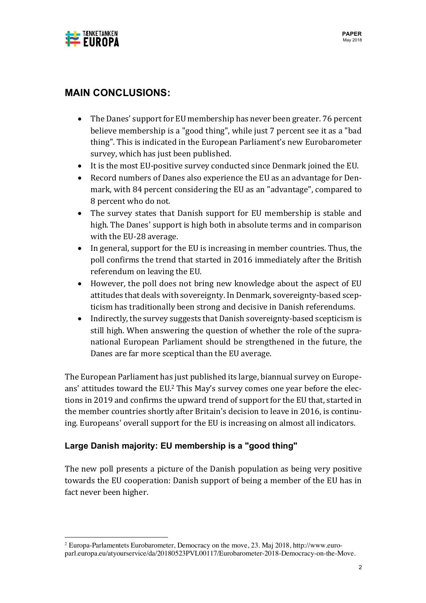

## **MAIN CONCLUSIONS:**

- The Danes' support for EU membership has never been greater. 76 percent believe membership is a "good thing", while just 7 percent see it as a "bad thing". This is indicated in the European Parliament's new Eurobarometer survey, which has just been published.
- It is the most EU-positive survey conducted since Denmark joined the EU.
- Record numbers of Danes also experience the EU as an advantage for Denmark, with 84 percent considering the EU as an "advantage", compared to 8 percent who do not.
- The survey states that Danish support for EU membership is stable and high. The Danes' support is high both in absolute terms and in comparison with the EU-28 average.
- In general, support for the EU is increasing in member countries. Thus, the poll confirms the trend that started in 2016 immediately after the British referendum on leaving the EU.
- However, the poll does not bring new knowledge about the aspect of EU attitudes that deals with sovereignty. In Denmark, sovereignty-based scepticism has traditionally been strong and decisive in Danish referendums.
- Indirectly, the survey suggests that Danish sovereignty-based scepticism is still high. When answering the question of whether the role of the supranational European Parliament should be strengthened in the future, the Danes are far more sceptical than the EU average.

The European Parliament has just published its large, biannual survey on Europeans' attitudes toward the EU.<sup>2</sup> This May's survey comes one year before the elections in 2019 and confirms the upward trend of support for the EU that, started in the member countries shortly after Britain's decision to leave in 2016, is continuing. Europeans' overall support for the EU is increasing on almost all indicators.

### **Large Danish majority: EU membership is a "good thing"**

 

The new poll presents a picture of the Danish population as being very positive towards the EU cooperation: Danish support of being a member of the EU has in fact never been higher.

<sup>2</sup> Europa-Parlamentets Eurobarometer, Democracy on the move, 23. Maj 2018, http://www.europarl.europa.eu/atyourservice/da/20180523PVL00117/Eurobarometer-2018-Democracy-on-the-Move.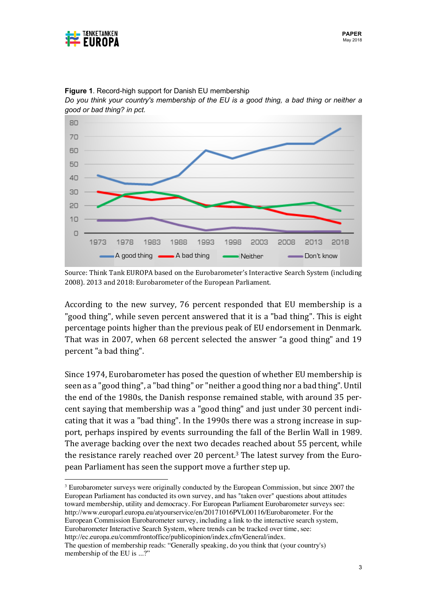

80 70 60 50 40 30 20  $10$  $\Box$ 1998 1973 1978 1983 1988 1993 2003 2008 2013 2018 A good thing  $\longrightarrow A$  bad thing  $\longrightarrow$  Neither Don't know

**Figure 1**. Record-high support for Danish EU membership

*Do you think your country's membership of the EU is a good thing, a bad thing or neither a good or bad thing? in pct.*

Source: Think Tank EUROPA based on the Eurobarometer's Interactive Search System (including 2008). 2013 and 2018: Eurobarometer of the European Parliament.

According to the new survey, 76 percent responded that EU membership is a "good thing", while seven percent answered that it is a "bad thing". This is eight percentage points higher than the previous peak of EU endorsement in Denmark. That was in 2007, when 68 percent selected the answer "a good thing" and 19 percent "a bad thing".

Since 1974, Eurobarometer has posed the question of whether EU membership is seen as a "good thing", a "bad thing" or "neither a good thing nor a bad thing". Until the end of the 1980s, the Danish response remained stable, with around 35 percent saying that membership was a "good thing" and just under 30 percent indicating that it was a "bad thing". In the 1990s there was a strong increase in support, perhaps inspired by events surrounding the fall of the Berlin Wall in 1989. The average backing over the next two decades reached about 55 percent, while the resistance rarely reached over 20 percent.<sup>3</sup> The latest survey from the European Parliament has seen the support move a further step up.

 <sup>3</sup> Eurobarometer surveys were originally conducted by the European Commission, but since 2007 the European Parliament has conducted its own survey, and has "taken over" questions about attitudes toward membership, utility and democracy. For European Parliament Eurobarometer surveys see: http://www.europarl.europa.eu/atyourservice/en/20171016PVL00116/Eurobarometer. For the European Commission Eurobarometer survey, including a link to the interactive search system, Eurobarometer Interactive Search System, where trends can be tracked over time, see: http://ec.europa.eu/commfrontoffice/publicopinion/index.cfm/General/index.

The question of membership reads: "Generally speaking, do you think that (your country's) membership of the EU is ...?"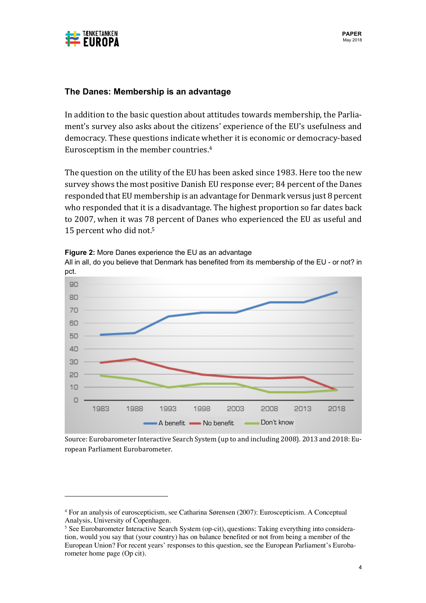

#### **The Danes: Membership is an advantage**

In addition to the basic question about attitudes towards membership, the Parliament's survey also asks about the citizens' experience of the EU's usefulness and democracy. These questions indicate whether it is economic or democracy-based Eurosceptism in the member countries.<sup>4</sup>

The question on the utility of the EU has been asked since 1983. Here too the new survey shows the most positive Danish EU response ever; 84 percent of the Danes responded that EU membership is an advantage for Denmark versus just 8 percent who responded that it is a disadvantage. The highest proportion so far dates back to 2007, when it was 78 percent of Danes who experienced the EU as useful and 15 percent who did not.<sup>5</sup>



**Figure 2:** More Danes experience the EU as an advantage

 

All in all, do you believe that Denmark has benefited from its membership of the EU - or not? in

Source: Eurobarometer Interactive Search System (up to and including 2008). 2013 and 2018: European Parliament Eurobarometer.

<sup>4</sup> For an analysis of euroscepticism, see Catharina Sørensen (2007): Euroscepticism. A Conceptual Analysis, University of Copenhagen.

<sup>&</sup>lt;sup>5</sup> See Eurobarometer Interactive Search System (op-cit), questions: Taking everything into consideration, would you say that (your country) has on balance benefited or not from being a member of the European Union? For recent years' responses to this question, see the European Parliament's Eurobarometer home page (Op cit).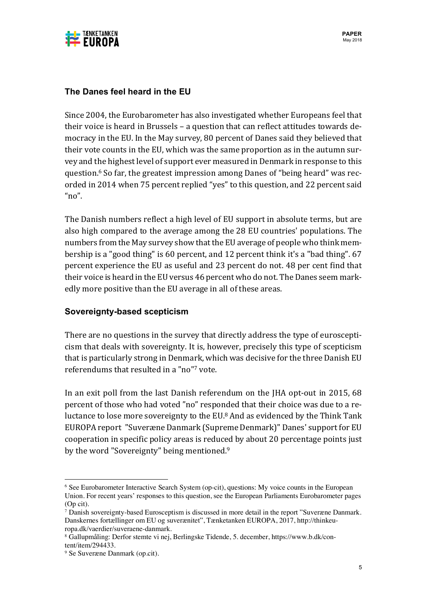

#### **The Danes feel heard in the EU**

Since 2004, the Eurobarometer has also investigated whether Europeans feel that their voice is heard in Brussels - a question that can reflect attitudes towards democracy in the EU. In the May survey, 80 percent of Danes said they believed that their vote counts in the EU, which was the same proportion as in the autumn survey and the highest level of support ever measured in Denmark in response to this question.<sup>6</sup> So far, the greatest impression among Danes of "being heard" was recorded in 2014 when 75 percent replied "yes" to this question, and 22 percent said  $n_0$ ".

The Danish numbers reflect a high level of EU support in absolute terms, but are also high compared to the average among the 28 EU countries' populations. The numbers from the May survey show that the EU average of people who think membership is a "good thing" is 60 percent, and 12 percent think it's a "bad thing". 67 percent experience the EU as useful and 23 percent do not. 48 per cent find that their voice is heard in the EU versus 46 percent who do not. The Danes seem markedly more positive than the EU average in all of these areas.

#### **Sovereignty-based scepticism**

There are no questions in the survey that directly address the type of euroscepticism that deals with sovereignty. It is, however, precisely this type of scepticism that is particularly strong in Denmark, which was decisive for the three Danish EU referendums that resulted in a "no"7 vote.

In an exit poll from the last Danish referendum on the JHA opt-out in 2015, 68 percent of those who had voted "no" responded that their choice was due to a reluctance to lose more sovereignty to the EU.<sup>8</sup> And as evidenced by the Think Tank EUROPA report "Suveræne Danmark (Supreme Denmark)" Danes' support for EU cooperation in specific policy areas is reduced by about 20 percentage points just by the word "Sovereignty" being mentioned.<sup>9</sup>

 

<sup>6</sup> See Eurobarometer Interactive Search System (op-cit), questions: My voice counts in the European Union. For recent years' responses to this question, see the European Parliaments Eurobarometer pages (Op cit).

<sup>7</sup> Danish sovereignty-based Eurosceptism is discussed in more detail in the report "Suveræne Danmark. Danskernes fortællinger om EU og suverænitet", Tænketanken EUROPA, 2017, http://thinkeuropa.dk/vaerdier/suveraene-danmark.

<sup>8</sup> Gallupmåling: Derfor stemte vi nej, Berlingske Tidende, 5. december, https://www.b.dk/content/item/294433.

<sup>9</sup> Se Suveræne Danmark (op.cit).